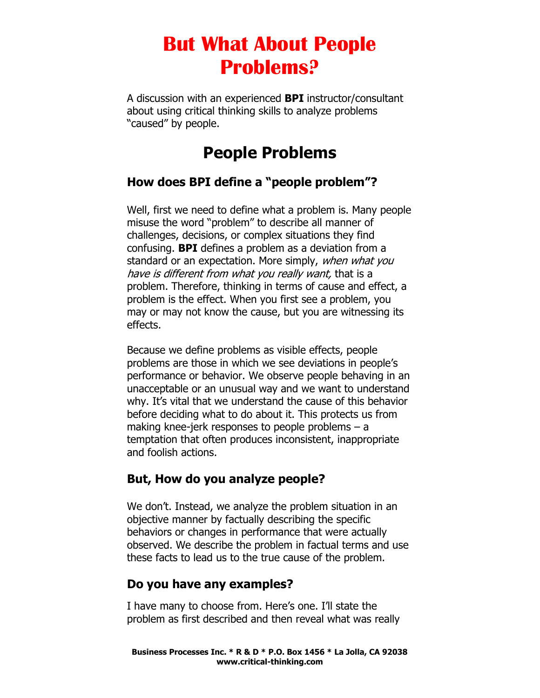A discussion with an experienced **BPI** instructor/consultant about using critical thinking skills to analyze problems "caused" by people.

# **People Problems**

### **How does BPI define a "people problem"?**

Well, first we need to define what a problem is. Many people misuse the word "problem" to describe all manner of challenges, decisions, or complex situations they find confusing. **BPI** defines a problem as a deviation from a standard or an expectation. More simply, when what you have is different from what you really want, that is a problem. Therefore, thinking in terms of cause and effect, a problem is the effect. When you first see a problem, you may or may not know the cause, but you are witnessing its effects.

Because we define problems as visible effects, people problems are those in which we see deviations in people's performance or behavior. We observe people behaving in an unacceptable or an unusual way and we want to understand why. It's vital that we understand the cause of this behavior before deciding what to do about it. This protects us from making knee-jerk responses to people problems – a temptation that often produces inconsistent, inappropriate and foolish actions.

### **But, How do you analyze people?**

We don't. Instead, we analyze the problem situation in an objective manner by factually describing the specific behaviors or changes in performance that were actually observed. We describe the problem in factual terms and use these facts to lead us to the true cause of the problem.

#### **Do you have any examples?**

I have many to choose from. Here's one. I'll state the problem as first described and then reveal what was really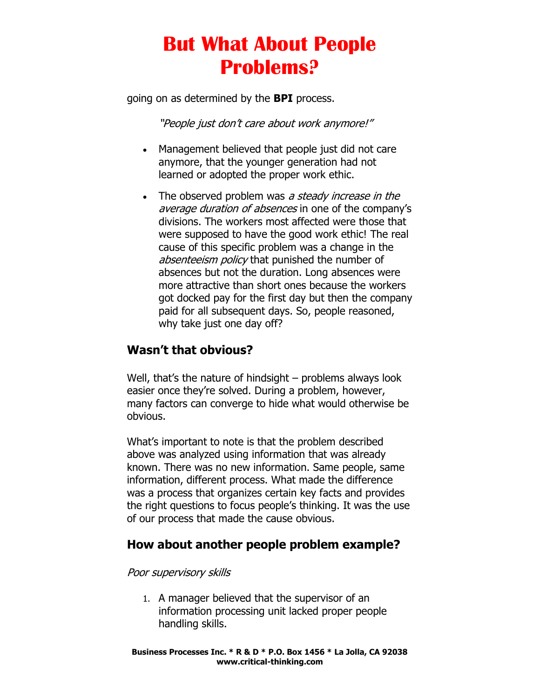going on as determined by the **BPI** process.

"People just don't care about work anymore!"

- Management believed that people just did not care anymore, that the younger generation had not learned or adopted the proper work ethic.
- The observed problem was a steady increase in the average duration of absences in one of the company's divisions. The workers most affected were those that were supposed to have the good work ethic! The real cause of this specific problem was a change in the absenteeism policy that punished the number of absences but not the duration. Long absences were more attractive than short ones because the workers got docked pay for the first day but then the company paid for all subsequent days. So, people reasoned, why take just one day off?

### **Wasn't that obvious?**

Well, that's the nature of hindsight – problems always look easier once they're solved. During a problem, however, many factors can converge to hide what would otherwise be obvious.

What's important to note is that the problem described above was analyzed using information that was already known. There was no new information. Same people, same information, different process. What made the difference was a process that organizes certain key facts and provides the right questions to focus people's thinking. It was the use of our process that made the cause obvious.

### **How about another people problem example?**

#### Poor supervisory skills

1. A manager believed that the supervisor of an information processing unit lacked proper people handling skills.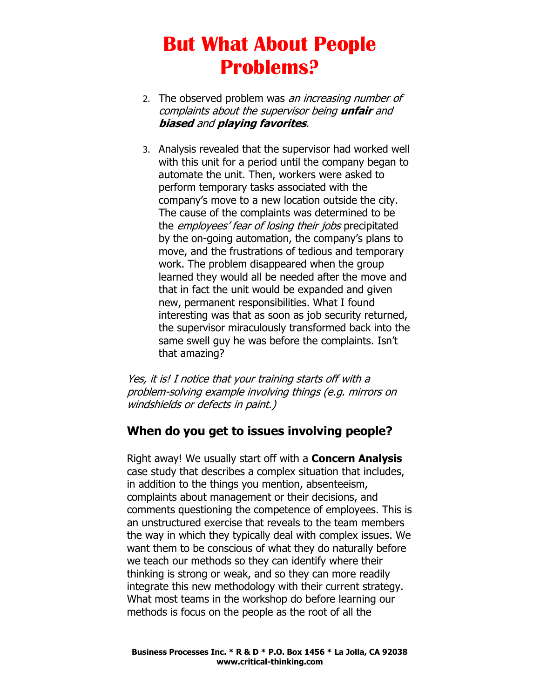- 2. The observed problem was an increasing number of complaints about the supervisor being **unfair** and **biased** and **playing favorites**.
- 3. Analysis revealed that the supervisor had worked well with this unit for a period until the company began to automate the unit. Then, workers were asked to perform temporary tasks associated with the company's move to a new location outside the city. The cause of the complaints was determined to be the *employees' fear of losing their jobs* precipitated by the on-going automation, the company's plans to move, and the frustrations of tedious and temporary work. The problem disappeared when the group learned they would all be needed after the move and that in fact the unit would be expanded and given new, permanent responsibilities. What I found interesting was that as soon as job security returned, the supervisor miraculously transformed back into the same swell guy he was before the complaints. Isn't that amazing?

Yes, it is! I notice that your training starts off with a problem-solving example involving things (e.g. mirrors on windshields or defects in paint.)

#### **When do you get to issues involving people?**

Right away! We usually start off with a **Concern Analysis** case study that describes a complex situation that includes, in addition to the things you mention, absenteeism, complaints about management or their decisions, and comments questioning the competence of employees. This is an unstructured exercise that reveals to the team members the way in which they typically deal with complex issues. We want them to be conscious of what they do naturally before we teach our methods so they can identify where their thinking is strong or weak, and so they can more readily integrate this new methodology with their current strategy. What most teams in the workshop do before learning our methods is focus on the people as the root of all the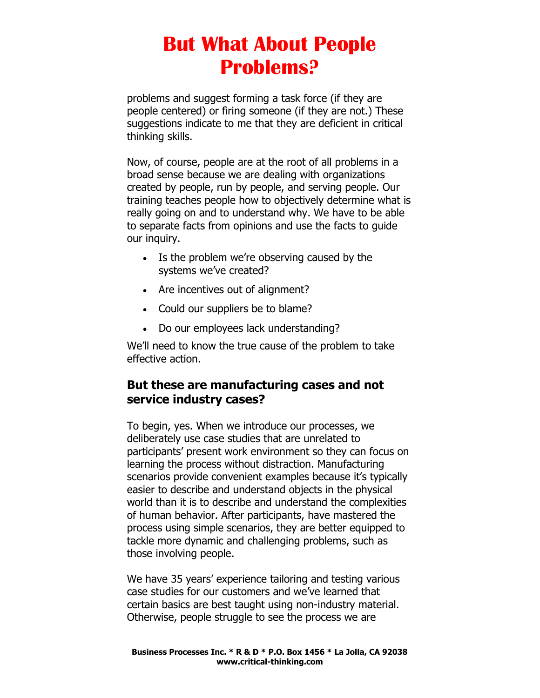problems and suggest forming a task force (if they are people centered) or firing someone (if they are not.) These suggestions indicate to me that they are deficient in critical thinking skills.

Now, of course, people are at the root of all problems in a broad sense because we are dealing with organizations created by people, run by people, and serving people. Our training teaches people how to objectively determine what is really going on and to understand why. We have to be able to separate facts from opinions and use the facts to guide our inquiry.

- Is the problem we're observing caused by the systems we've created?
- Are incentives out of alignment?
- Could our suppliers be to blame?
- Do our employees lack understanding?

We'll need to know the true cause of the problem to take effective action.

#### **But these are manufacturing cases and not service industry cases?**

To begin, yes. When we introduce our processes, we deliberately use case studies that are unrelated to participants' present work environment so they can focus on learning the process without distraction. Manufacturing scenarios provide convenient examples because it's typically easier to describe and understand objects in the physical world than it is to describe and understand the complexities of human behavior. After participants, have mastered the process using simple scenarios, they are better equipped to tackle more dynamic and challenging problems, such as those involving people.

We have 35 years' experience tailoring and testing various case studies for our customers and we've learned that certain basics are best taught using non-industry material. Otherwise, people struggle to see the process we are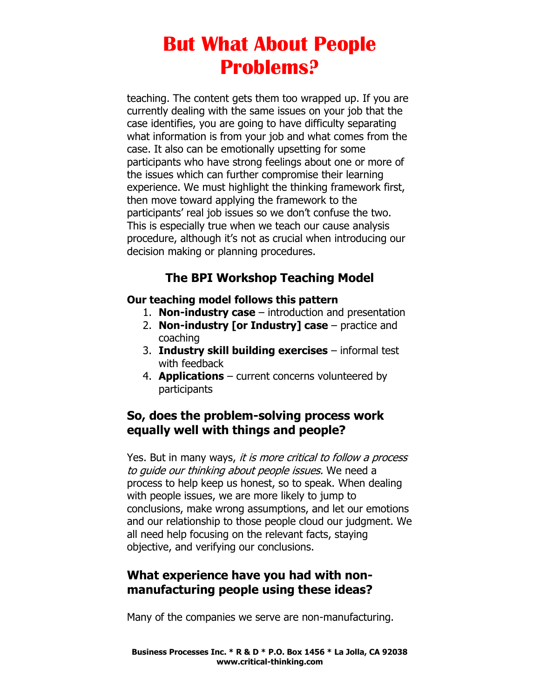teaching. The content gets them too wrapped up. If you are currently dealing with the same issues on your job that the case identifies, you are going to have difficulty separating what information is from your job and what comes from the case. It also can be emotionally upsetting for some participants who have strong feelings about one or more of the issues which can further compromise their learning experience. We must highlight the thinking framework first, then move toward applying the framework to the participants' real job issues so we don't confuse the two. This is especially true when we teach our cause analysis procedure, although it's not as crucial when introducing our decision making or planning procedures.

## **The BPI Workshop Teaching Model**

#### **Our teaching model follows this pattern**

- 1. **Non-industry case** introduction and presentation
- 2. **Non-industry [or Industry] case** practice and coaching
- 3. **Industry skill building exercises** informal test with feedback
- 4. **Applications** current concerns volunteered by participants

### **So, does the problem-solving process work equally well with things and people?**

Yes. But in many ways, it is more critical to follow a process to guide our thinking about people issues. We need a process to help keep us honest, so to speak. When dealing with people issues, we are more likely to jump to conclusions, make wrong assumptions, and let our emotions and our relationship to those people cloud our judgment. We all need help focusing on the relevant facts, staying objective, and verifying our conclusions.

### **What experience have you had with nonmanufacturing people using these ideas?**

Many of the companies we serve are non-manufacturing.